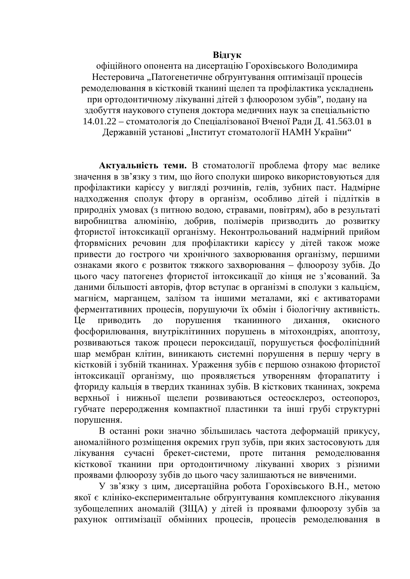### **Відгук**

офіційного опонента на дисертацію Горохівського Володимира Нестеровича "Патогенетичне обґрунтування оптимізації процесів ремоделювання в кістковій тканині щелеп та профілактика ускладнень при ортодонтичному лікуванні дітей з флюорозом зубів", подану на здобуття наукового ступеня доктора медичних наук за спеціальністю 14.01.22 – стоматологія до Спеціалізованої Вченої Ради Д. 41.563.01 в

Державній установі "Інститут стоматології НАМН України"

Актуальність теми. В стоматології проблема фтору має велике значення в зв'язку з тим, що його сполуки широко використовуються для профілактики карієсу у вигляді розчинів, гелів, зубних паст. Надмірне надходження сполук фтору в організм, особливо дітей і підлітків в природніх умовах (з питною водою, стравами, повітрям), або в результаті виробництва алюмінію, добрив, полімерів призводить до розвитку фтористої інтоксикації організму. Неконтрольований надмірний прийом фторвмісних речовин для профілактики карієсу у дітей також може привести до гострого чи хронічного захворювання організму, першими ознаками якого є розвиток тяжкого захворювання – флюорозу зубів. До цього часу патогенез фтористої інтоксикації до кінця не з'ясований. За даними більшості авторів, фтор вступає в організмі в сполуки з кальцієм, магнієм, марганцем, залізом та іншими металами, які є активаторами ферментативних процесів, порушуючи їх обмін і біологічну активність. Це приводить до порушення тканинного дихання, окисного фосфорилювання, внутріклітинних порушень в мітохондріях, апоптозу, розвиваються також процеси пероксидації, порушується фосфоліпідний шар мембран клітин, виникають системні порушення в першу чергу в кістковій і зубній тканинах. Ураження зубів є першою ознакою фтористої інтоксикації організму, що проявляється утворенням фторапатиту і фториду кальція в твердих тканинах зубів. В кісткових тканинах, зокрема верхньої і нижньої щелепи розвиваються остеосклероз, остеопороз, губчате переродження компактної пластинки та інші грубі структурні порушення.

В останні роки значно збільшилась частота деформацій прикусу, аномалійного розміщення окремих груп зубів, при яких застосовують для лікування сучасні брекет-системи, проте питання ремоделювання кісткової тканини при ортодонтичному лікуванні хворих з різними проявами флюорозу зубів до цього часу залишаються не вивченими.

У зв'язку з цим, дисертаційна робота Горохівського В.Н., метою якої є клініко-експериментальне обґрунтування комплексного лікування зубощелепних аномалій (ЗЩА) у дітей із проявами флюорозу зубів за рахунок оптимізації обмінних процесів, процесів ремоделювання в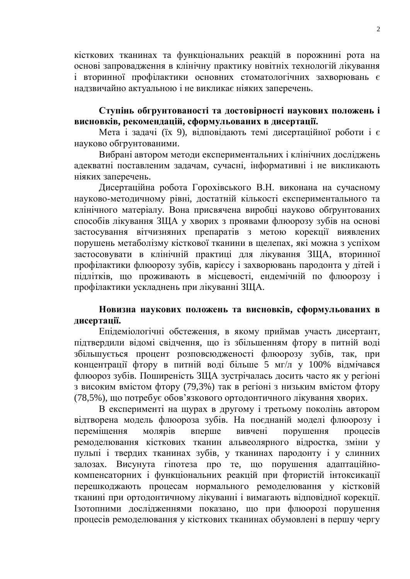кісткових тканинах та функціональних реакцій в порожнині рота на основі запровадження в клінічну практику новітніх технологій лікування і вторинної профілактики основних стоматологічних захворювань є надзвичайно актуальною і не викликає ніяких заперечень.

# Ступінь обгрунтованості та достовірності наукових положень і **висновків, рекомендацій, сформульованих в дисертації.**

Мета і задачі (їх 9), відповідають темі дисертаційної роботи і є науково обгрунтованими.

Вибрані автором методи експериментальних і клінічних досліджень адекватні поставленим задачам, сучасні, інформативні і не викликають ніяких заперечень.

Дисертаційна робота Горохівського В.Н. виконана на сучасному науково-методичному рівні, достатній кількості експериментального та клінічного матеріалу. Вона присвячена виробці науково обґрунтованих способів лікування ЗЩА у хворих з проявами флюорозу зубів на основі застосування вітчизняних препаратів з метою корекції виявлених порушень метаболізму кісткової тканини в щелепах, які можна з успіхом застосовувати в клінічній практиці для лікування ЗЩА, вторинної профілактики флюорозу зубів, карієсу і захворювань пародонта у дітей і підлітків, що проживають в місцевості, ендемічній по флюорозу і профілактики ускладнень при лікуванні ЗЩА.

# Новизна наукових положень та висновків, сформульованих в дисертації.

Епідеміологічні обстеження, в якому приймав участь дисертант, підтвердили відомі свідчення, що із збільшенням фтору в питній воді збільшується процент розповсюдженості флюорозу зубів, так, при концентрації фтору в питній воді більше 5 мг/л у 100% відмічався флюороз зубів. Поширеність ЗЩА зустрічалась досить часто як у регіоні з високим вмістом фтору (79,3%) так в регіоні з низьким вмістом фтору (78,5%), що потребує обов'язкового ортодонтичного лікування хворих.

В експерименті на щурах в другому і третьому поколінь автором відтворена модель флюороза зубів. На поєднаній моделі флюорозу і переміщення молярів вперше вивчені порушення процесів ремоделювання кісткових тканин альвеолярного відростка, зміни у пульпі і твердих тканинах зубів, у тканинах пародонту і у слинних залозах. Висунута гіпотеза про те, що порушення адаптаційнокомпенсаторних і функціональних реакцій при фтористій інтоксикації перешкоджають процесам нормального ремоделювання у кістковій тканині при ортодонтичному лікуванні і вимагають відповідної корекції. Iзотопними дослідженнями показано, що при флюорозі порушення процесів ремоделювання у кісткових тканинах обумовлені в першу чергу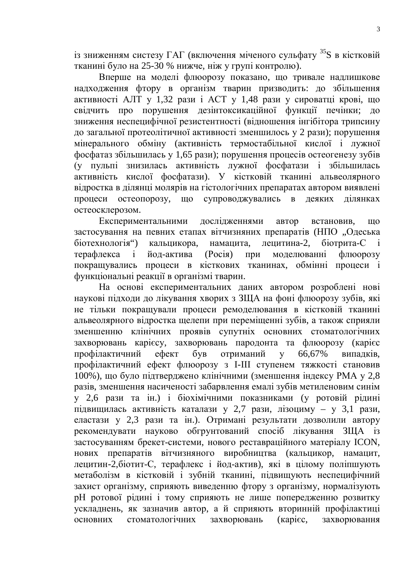$\overline{a}$ зниженням систезу ГАГ (включення міченого сульфату <sup>35</sup>S в кістковій тканині було на 25-30 % нижче, ніж у групі контролю).

Вперше на моделі флюорозу показано, що тривале надлишкове надходження фтору в організм тварин призводить: до збільшення активності АЛТ у 1,32 рази і АСТ у 1,48 рази у сироватці крові, що свідчить про порушення дезінтоксикаційної функції печінки; до зниження неспецифічної резистентності (відношення інгібітора трипсину до загальної протеолітичної активності зменшилось у 2 рази); порушення мінерального обміну (активність термостабільної кислої і лужної фосфатаз збільшилась у 1,65 рази); порушення процесів остеогенезу зубів (у пульпі знизилась активність лужної фосфатази і збільшилась активність кислої фосфатази). У кістковій тканині альвеолярного відростка в ділянці молярів на гістологічних препаратах автором виявлені процеси остеопорозу, що супроводжувались в деяких ділянках остеосклерозом.

Експериментальними дослідженнями автор встановив, що застосування на певних етапах вітчизняних препаратів (НПО "Одеська біотехнологія") кальцикора, намацита, лецитина-2, біотрита-С і терафлекса і йод-актива (Росія) при моделюванні флюорозу покращувались процеси в кісткових тканинах, обмінні процеси і функціональні реакції в організмі тварин.

На основі експериментальних даних автором розроблені нові наукові підходи до лікування хворих з ЗЩА на фоні флюорозу зубів, які не тільки покращували процеси ремоделювання в кістковій тканині альвеолярного відростка щелепи при переміщенні зубів, а також сприяли зменшенню клінічних проявів супутніх основних стоматологічних захворювань карієсу, захворювань пародонта та флюорозу (карієс профілактичний ефект був отриманий у 66,67% випадків, профілактичний ефект флюорозу з І-ІІІ ступенем тяжкості становив 100%), що було підтверджено клінічними (зменшення індексу РМА у 2,8 разів, зменшення насиченості забарвлення емалі зубів метиленовим синім у 2,6 рази та ін.) і біохімічними показниками (у ротовій рідині підвищилась активність каталази у 2,7 рази, лізоциму – у 3,1 рази, еластази у 2,3 рази та ін.). Отримані результати дозволили автору рекомендувати науково обгрунтований спосіб лікування ЗЩА із застосуванням брекет-системи, нового реставраційного матеріалу ICON, нових препаратів вітчизняного виробництва (кальцикор, намацит, лецитин-2, біотит-С, терафлекс і йод-актив), які в цілому поліпшують метаболізм в кістковій і зубній тканині, підвищують неспецифічний захист організму, сприяють виведенню фтору з організму, нормалізують рН ротової рідині і тому сприяють не лише попередженню розвитку ускладнень, як зазначив автор, а й сприяють вторинній профілактиці основних стоматологічних захворювань (карієс, захворювання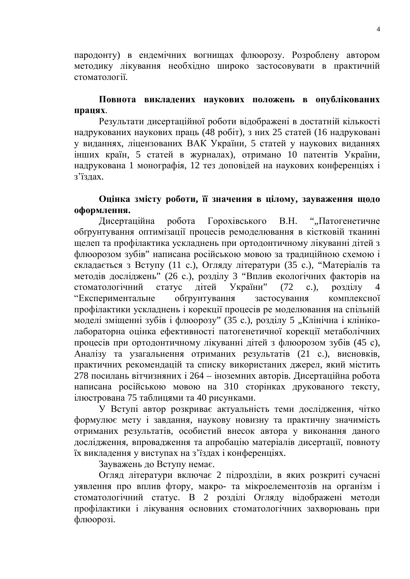пародонту) в ендемічних вогнищах флюорозу. Розроблену автором методику лікування необхідно широко застосовувати в практичній стоматології.

## Повнота викладених наукових положень в опублікованих працях.

Результати дисертаційної роботи відображені в достатній кількості надрукованих наукових праць (48 робіт), з них 25 статей (16 надруковані у виданнях, ліцензованих ВАК України, 5 статей у наукових виданнях інших країн, 5 статей в журналах), отримано 10 патентів України, надрукована 1 монографія, 12 тез доповідей на наукових конференціях і з'їзлах.

# Оцінка змісту роботи, її значення в цілому, зауваження щодо  $\boldsymbol{\omega}$ формлення.

Дисертаційна робота Горохівського В.Н. ""Патогенетичне обґрунтування оптимізації процесів ремоделювання в кістковій тканині щелеп та профілактика ускладнень при ортодонтичному лікуванні дітей з флюорозом зубів" написана російською мовою за традиційною схемою і складається з Вступу (11 с.), Огляду літератури (35 с.), "Матеріалів та методів досліджень" (26 с.), розділу 3 "Вплив екологічних факторів на стоматологічний статус дітей України" (72 с.), розділу челавитальне эбтрунтування застосування комплексної» профілактики ускладнень і корекції процесів ре моделювання на спільній моделі зміщенні зубів і флюорозу" (35 с.), розділу 5 "Клінічна і клініколабораторна оцінка ефективності патогенетичної корекції метаболічних процесів при ортодонтичному лікуванні дітей з флюорозом зубів (45 с), Аналізу та узагальнення отриманих результатів (21 с.), висновків, практичних рекомендацій та списку використаних джерел, який містить 278 посилань вітчизняних і 264 – іноземних авторів. Дисертаційна робота написана російською мовою на 310 сторінках друкованого тексту, ілюстрована 75 таблицями та 40 рисунками.

У Вступі автор розкриває актуальність теми дослідження, чітко формулює мету і завдання, наукову новизну та практичну значимість отриманих результатів, особистий внесок автора у виконання даного дослідження, впровадження та апробацію матеріалів дисертації, повноту їх викладення у виступах на з'їздах і конференціях.

Зауважень до Вступу немає.

Огляд літератури включає 2 підрозділи, в яких розкриті сучасні уявлення про вплив фтору, макро- та мікроелементозів на організм і стоматологічний статус. В 2 розділі Огляду відображені методи профілактики і лікування основних стоматологічних захворювань при флюорозі.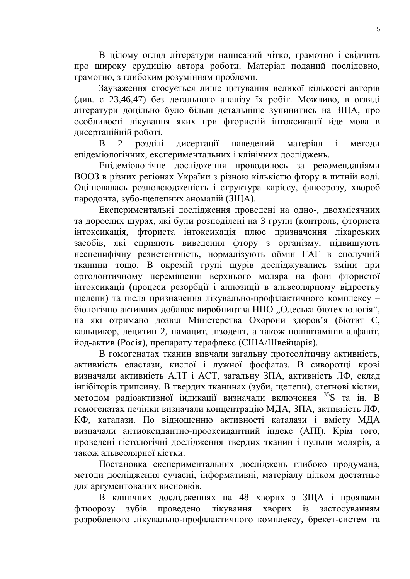В цілому огляд літератури написаний чітко, грамотно і свідчить про широку ерудицію автора роботи. Матеріал поданий послідовно, грамотно, з глибоким розумінням проблеми.

Зауваження стосується лише цитування великої кількості авторів (див. с 23,46,47) без детального аналізу їх робіт. Можливо, в огляді літератури доцільно було більш детальніше зупинитись на ЗЩА, про особливості лікування яких при фтористій інтоксикації йде мова в дисертаційній роботі.

В 2 розділі дисертації наведений матеріал і методи епідеміологічних, експериментальних і клінічних досліджень.

Епідеміологічне дослідження проводилось за рекомендаціями ВООЗ в різних регіонах України з різною кількістю фтору в питній воді. Оцінювалась розповсюдженість і структура карієсу, флюорозу, хвороб пародонта, зубо-щелепних аномалій (ЗЩА).

Експериментальні дослідження проведені на одно-, двохмісячних та дорослих щурах, які були розподілені на 3 групи (контроль, фториста нтоксикація, фториста інтоксикація плюс призначення лікарських засобів, які сприяють виведення фтору з організму, підвищують неспецифічну резистентність, нормалізують обмін ГАГ в сполучній тканини тощо. В окремій групі щурів досліджувались зміни при ортодонтичному переміщенні верхнього моляра на фоні фтористої інтоксикації (процеси резорбції і аппозиції в альвеолярному відростку щелепи) та після призначення лікувально-профілактичного комплексу – біологічно активних добавок виробництва НПО "Одеська біотехнологія", на які отримано дозвіл Міністерства Охорони здоров'я (біотит С, кальцикор, лецитин 2, намацит, лізодент, а також полівітамінів алфавіт, йод-актив (Росія), препарату терафлекс (США/Швейцарія).

В гомогенатах тканин вивчали загальну протеолітичну активність, активність еластази, кислої і лужної фосфатаз. В сиворотці крові визначали активність АЛТ і АСТ, загальну ЗПА, активність ЛФ, склад інгібіторів трипсину. В твердих тканинах (зуби, щелепи), стегнові кістки, методом радіоактивної індикації визначали включення <sup>35</sup>S та ін. В гомогенатах печінки визначали концентрацію МДА, ЗПА, активність ЛФ, КФ, каталази. По відношенню активності каталази і вмісту МДА визначали антиоксидантно-прооксидантний індекс (АПІ). Крім того, проведені гістологічні дослідження твердих тканин і пульпи молярів, а також альвеолярної кістки.

Постановка експериментальних досліджень глибоко продумана, методи дослідження сучасні, інформативні, матеріалу цілком достатньо для аргументованих висновків.

В клінічних дослідженнях на 48 хворих з ЗЩА і проявами флюорозу зубів проведено лікування хворих із застосуванням розробленого лікувально-профілактичного комплексу, брекет-систем та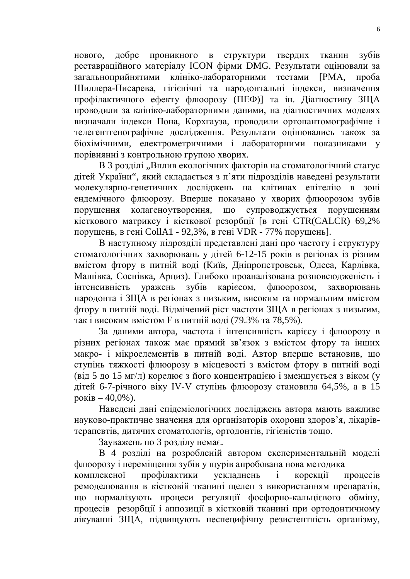нового, добре проникного в структури твердих тканин зубів реставраційного матеріалу ICON фірми DMG. Результати оцінювали за загальноприйнятими клініко-лабораторними тестами [РМА, проба Шиллера-Писарева, гігієнічні та пародонтальні індекси, визначення профілактичного ефекту флюорозу (ПЕФ)] та ін. Діагностику ЗЩА проводили за клініко-лабораторними даними, на діагностичних моделях визначали індекси Пона, Корхгауза, проводили ортопантомографічне і телегентгенографічне дослідження. Результати оцінювались також за біохімічними, електрометричними і лабораторними показниками у порівнянні з контрольною групою хворих.

В 3 розділі "Вплив екологічних факторів на стоматологічний статус дітей України", який складається з п'яти підрозділів наведені результати молекулярно-генетичних досліджень на клітинах епітелію в зоні ендемічного флюорозу. Вперше показано у хворих флюорозом зубів порушення колагеноутворення, що супроводжується порушенням кісткового матриксу і кісткової резорбції [в гені CTR(CALCR) 69,2% порушень, в гені CollA1 - 92,3%, в гені VDR - 77% порушень].

В наступному підрозділі представлені дані про частоту і структуру стоматологічних захворювань у дітей 6-12-15 років в регіонах із різним вмістом фтору в питній воді (Київ, Дніпропетровськ, Одеса, Карлівка, Машівка, Соснівка, Арциз). Глибоко проаналізована розповсюдженість і інтенсивність уражень зубів карієсом, флюорозом, захворювань пародонта і ЗЩА в регіонах з низьким, високим та нормальним вмістом фтору в питній воді. Відмічений ріст частоти ЗЩА в регіонах з низьким, так і високим вмістом  $F$  в питній воді (79.3% та 78,5%).

За даними автора, частота і інтенсивність карієсу і флюорозу в різних регіонах також має прямий зв'язок з вмістом фтору та інших макро- і мікроелементів в питній воді. Автор вперше встановив, що ступінь тяжкості флюорозу в місцевості з вмістом фтору в питній воді  $(\text{Big } 5 \text{ go } 15 \text{ m} / \text{m})$  корелює з його концентрацією і зменшується з віком (у дітей 6-7-річного віку IV-V ступінь флюорозу становила 64,5%, а в 15  $p$ оків – 40,0%).

Наведені дані епідеміологічних досліджень автора мають важливе науково-практичне значення для організаторів охорони здоров'я, лікарівтерапевтів, дитячих стоматологів, ортодонтів, гігієністів тощо.

Зауважень по 3 розділу немає.

В 4 розділі на розробленій автором експериментальній моделі флюорозу і переміщення зубів у щурів апробована нова методика комплексної профілактики ускладнень і корекції процесів ремоделювання в кістковій тканині щелеп з використанням препаратів, що нормалізують процеси регуляції фосфорно-кальцієвого обміну, процесів резорбції і аппозиції в кістковій тканині при ортодонтичному лікуванні ЗЩА, підвищують неспецифічну резистентність організму,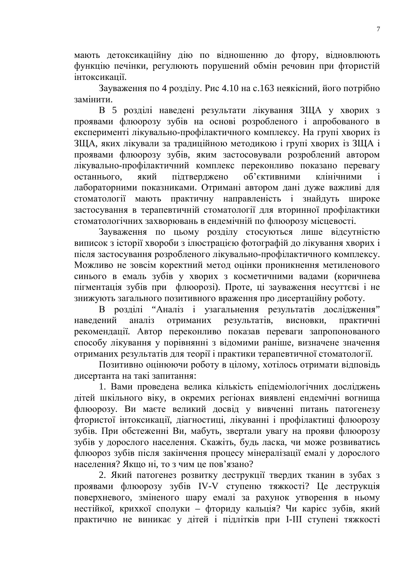мають детоксикаційну дію по відношенню до фтору, відновлюють функцію печінки, регулюють порушений обмін речовин при фтористій інтоксикації.

Зауваження по 4 розділу. Рис 4.10 на с.163 неякісний, його потрібно замінити.

В 5 розділі наведені результати лікування ЗЩА у хворих з проявами флюорозу зубів на основі розробленого і апробованого в експерименті лікувально-профілактичного комплексу. На групі хворих із ЗЩА, яких лікували за традиційною методикою і групі хворих із ЗЩА і проявами флюорозу зубів, яким застосовували розроблений автором лікувально-профілактичний комплекс переконливо показано перевагу останнього, який підтверджено об'єктивними клінічними і лабораторними показниками. Отримані автором дані дуже важливі для стоматології мають практичну направленість і знайдуть широке застосування в терапевтичній стоматології для вторинної профілактики стоматологічних захворювань в ендемічній по флюорозу місцевості.

Зауваження по цьому розділу стосуються лише відсутністю виписок з історії хвороби з ілюстрацією фотографій до лікування хворих і після застосування розробленого лікувально-профілактичного комплексу. Можливо не зовсім коректний метод оцінки проникнення метиленового синього в емаль зубів у хворих з косметичними вадами (коричнева пігментація зубів при флюорозі). Проте, ці зауваження несуттєві і не знижують загального позитивного враження про дисертаційну роботу.

В розділі "Аналіз і узагальнення результатів дослідження" наведений аналіз отриманих результатів, висновки, практичні рекомендації. Автор переконливо показав переваги запропонованого способу лікування у порівнянні з відомими раніше, визначене значення отриманих результатів для теорії і практики терапевтичної стоматології.

Позитивно оцінюючи роботу в цілому, хотілось отримати відповідь дисертанта на такі запитання:

1. Вами проведена велика кількість епідеміологічних досліджень дітей шкільного віку, в окремих регіонах виявлені ендемічні вогнища флюорозу. Ви маєте великий досвід у вивченні питань патогенезу фтористої інтоксикації, діагностиці, лікуванні і профілактиці флюорозу зубів. При обстеженні Ви, мабуть, звертали увагу на прояви флюорозу зубів у дорослого населення. Скажіть, будь ласка, чи може розвиватись флюороз зубів після закінчення процесу мінералізації емалі у дорослого населення? Якщо ні, то з чим це пов'язано?

2. Який патогенез розвитку деструкції твердих тканин в зубах з проявами флюорозу зубів IV-V ступеню тяжкості? Це деструкція поверхневого, зміненого шару емалі за рахунок утворення в ньому нестійкої, крихкої сполуки – фториду кальція? Чи карієс зубів, який практично не виникає у дітей і підлітків при І-ІІІ ступені тяжкості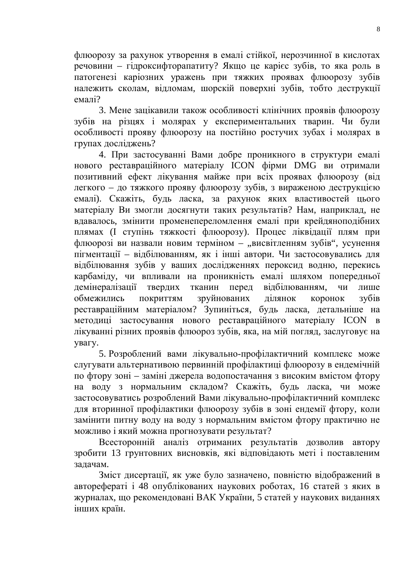флюорозу за рахунок утворення в емалі стійкої, нерозчинної в кислотах  $p$ ечовини – гідроксифторапатиту? Якщо це карієс зубів, то яка роль в патогенезі каріозних уражень при тяжких проявах флюорозу зубів належить сколам, відломам, шорскій поверхні зубів, тобто деструкції  $enan<sub>i</sub>$ ?

3. Мене зацікавили також особливості клінічних проявів флюорозу зубів на різцях і молярах у експериментальних тварин. Чи були особливості прояву флюорозу на постійно ростучих зубах і молярах в групах досліджень?

4. При застосуванні Вами добре проникного в структури емалі нового реставраційного матеріалу ICON фірми DMG ви отримали позитивний ефект лікування майже при всіх проявах флюорозу (від дегкого – до тяжкого прояву флюорозу зубів, з вираженою деструкцією емалі). Скажіть, будь ласка, за рахунок яких властивостей цього матеріалу Ви змогли досягнути таких результатів? Нам, наприклад, не вдавалось, змінити променепереломлення емалі при крейдяноподібних плямах (I ступінь тяжкості флюорозу). Процес ліквідації плям при флюорозі ви назвали новим терміном - "висвітленням зубів", усунення пігментації – відбілюванням, як і інші автори. Чи застосовувались для відбілювання зубів у ваших дослідженнях пероксид водню, перекись карбаміду, чи впливали на проникність емалі шляхом попередньої демінералізації твердих тканин перед відбілюванням, чи лише обмежились покриттям зруйнованих лілянок коронок зубів реставраційним матеріалом? Зупиніться, будь ласка, детальніше на методиці застосування нового реставраційного матеріалу ICON в лікуванні різних проявів флюороз зубів, яка, на мій погляд, заслуговує на VBALV.

5. Розроблений вами лікувально-профілактичний комплекс може слугувати альтернативою первинній профілактиці флюорозу в ендемічній по фтору зоні – заміні джерела водопостачання з високим вмістом фтору на воду з нормальним складом? Скажіть, будь ласка, чи може застосовуватись розроблений Вами лікувально-профілактичний комплекс для вторинної профілактики флюорозу зубів в зоні ендемії фтору, коли замінити питну воду на воду з нормальним вмістом фтору практично не можливо і який можна прогнозувати результат?

Всесторонній аналіз отриманих результатів дозволив автору зробити 13 грунтовних висновків, які відповідають меті і поставленим задачам.

Зміст дисертації, як уже було зазначено, повністю відображений в авторефераті і 48 опублікованих наукових роботах, 16 статей з яких в журналах, що рекомендовані ВАК України, 5 статей у наукових виданнях інших країн.